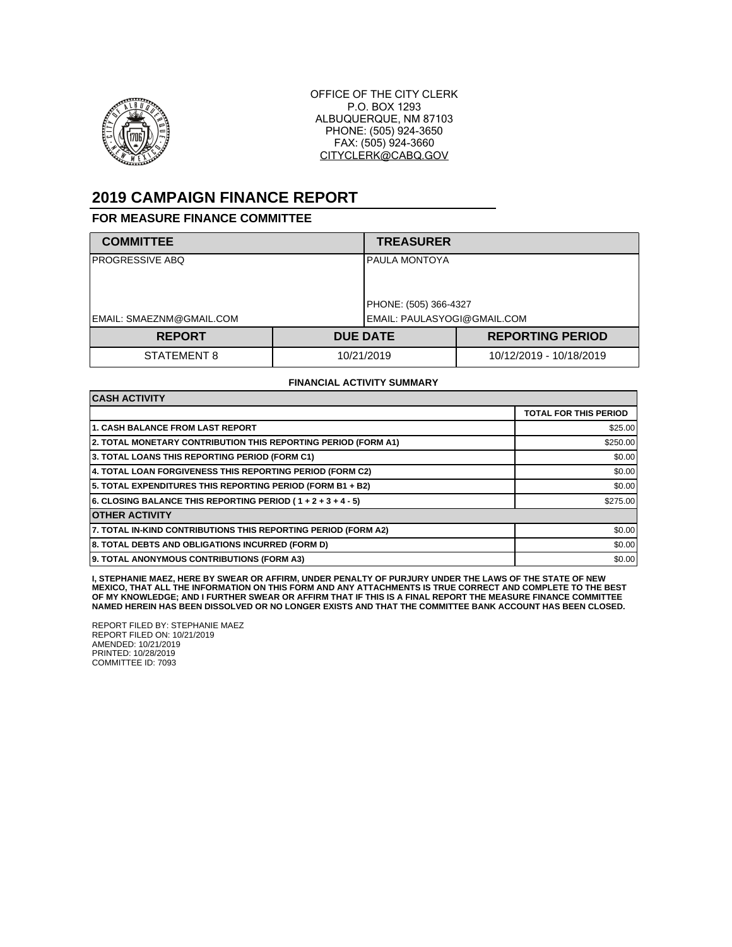

OFFICE OF THE CITY CLERK P.O. BOX 1293 ALBUQUERQUE, NM 87103 PHONE: (505) 924-3650 FAX: (505) 924-3660 CITYCLERK@CABQ.GOV

## **2019 CAMPAIGN FINANCE REPORT**

## **FOR MEASURE FINANCE COMMITTEE**

| <b>COMMITTEE</b>         |            | <b>TREASURER</b>            |                         |
|--------------------------|------------|-----------------------------|-------------------------|
| IPROGRESSIVE ABQ         |            | <b>IPAULA MONTOYA</b>       |                         |
|                          |            | PHONE: (505) 366-4327       |                         |
| EMAIL: SMAEZNM@GMAIL.COM |            | EMAIL: PAULASYOGI@GMAIL.COM |                         |
| <b>REPORT</b>            |            | <b>DUE DATE</b>             | <b>REPORTING PERIOD</b> |
| STATEMENT 8              | 10/21/2019 |                             | 10/12/2019 - 10/18/2019 |

## **FINANCIAL ACTIVITY SUMMARY**

| <b>CASH ACTIVITY</b>                                           |                              |  |  |  |
|----------------------------------------------------------------|------------------------------|--|--|--|
|                                                                | <b>TOTAL FOR THIS PERIOD</b> |  |  |  |
| <b>1. CASH BALANCE FROM LAST REPORT</b>                        | \$25.00                      |  |  |  |
| 2. TOTAL MONETARY CONTRIBUTION THIS REPORTING PERIOD (FORM A1) | \$250.00                     |  |  |  |
| 3. TOTAL LOANS THIS REPORTING PERIOD (FORM C1)                 | \$0.00                       |  |  |  |
| 4. TOTAL LOAN FORGIVENESS THIS REPORTING PERIOD (FORM C2)      | \$0.00                       |  |  |  |
| 5. TOTAL EXPENDITURES THIS REPORTING PERIOD (FORM B1 + B2)     | \$0.00                       |  |  |  |
| 6. CLOSING BALANCE THIS REPORTING PERIOD (1+2+3+4-5)           | \$275.00                     |  |  |  |
| <b>OTHER ACTIVITY</b>                                          |                              |  |  |  |
| 7. TOTAL IN-KIND CONTRIBUTIONS THIS REPORTING PERIOD (FORM A2) | \$0.00                       |  |  |  |
| 8. TOTAL DEBTS AND OBLIGATIONS INCURRED (FORM D)               | \$0.00                       |  |  |  |
| 9. TOTAL ANONYMOUS CONTRIBUTIONS (FORM A3)                     | \$0.00                       |  |  |  |

**I, STEPHANIE MAEZ, HERE BY SWEAR OR AFFIRM, UNDER PENALTY OF PURJURY UNDER THE LAWS OF THE STATE OF NEW MEXICO, THAT ALL THE INFORMATION ON THIS FORM AND ANY ATTACHMENTS IS TRUE CORRECT AND COMPLETE TO THE BEST OF MY KNOWLEDGE; AND I FURTHER SWEAR OR AFFIRM THAT IF THIS IS A FINAL REPORT THE MEASURE FINANCE COMMITTEE NAMED HEREIN HAS BEEN DISSOLVED OR NO LONGER EXISTS AND THAT THE COMMITTEE BANK ACCOUNT HAS BEEN CLOSED.**

REPORT FILED BY: STEPHANIE MAEZ REPORT FILED ON: 10/21/2019 AMENDED: 10/21/2019 PRINTED: 10/28/2019 COMMITTEE ID: 7093